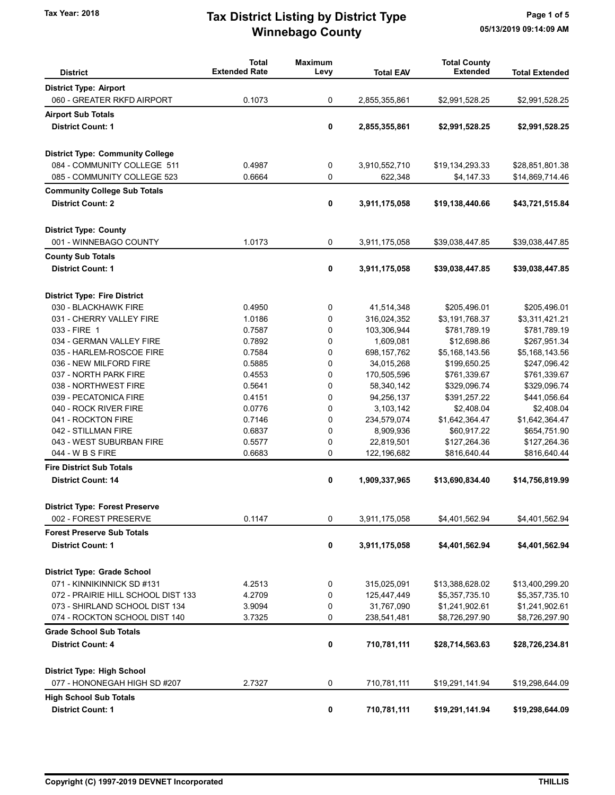## Winnebago County Tax Year: 2018 **Tax District Listing by District Type** Page 1 of 5

| <b>District</b>                             | <b>Total</b><br><b>Extended Rate</b> | <b>Maximum</b><br>Levy | <b>Total EAV</b>         | <b>Total County</b><br><b>Extended</b> | <b>Total Extended</b>        |
|---------------------------------------------|--------------------------------------|------------------------|--------------------------|----------------------------------------|------------------------------|
| <b>District Type: Airport</b>               |                                      |                        |                          |                                        |                              |
| 060 - GREATER RKFD AIRPORT                  | 0.1073                               | 0                      | 2,855,355,861            | \$2,991,528.25                         | \$2,991,528.25               |
| <b>Airport Sub Totals</b>                   |                                      |                        |                          |                                        |                              |
| <b>District Count: 1</b>                    |                                      | 0                      | 2,855,355,861            | \$2,991,528.25                         | \$2,991,528.25               |
| <b>District Type: Community College</b>     |                                      |                        |                          |                                        |                              |
| 084 - COMMUNITY COLLEGE 511                 | 0.4987                               | 0                      | 3,910,552,710            | \$19,134,293.33                        | \$28,851,801.38              |
| 085 - COMMUNITY COLLEGE 523                 | 0.6664                               | 0                      | 622,348                  | \$4,147.33                             | \$14,869,714.46              |
| <b>Community College Sub Totals</b>         |                                      |                        |                          |                                        |                              |
| <b>District Count: 2</b>                    |                                      | 0                      | 3,911,175,058            | \$19,138,440.66                        | \$43,721,515.84              |
| <b>District Type: County</b>                |                                      |                        |                          |                                        |                              |
| 001 - WINNEBAGO COUNTY                      | 1.0173                               | 0                      | 3,911,175,058            | \$39,038,447.85                        | \$39,038,447.85              |
| <b>County Sub Totals</b>                    |                                      |                        |                          |                                        |                              |
| <b>District Count: 1</b>                    |                                      | 0                      | 3,911,175,058            | \$39,038,447.85                        | \$39,038,447.85              |
| <b>District Type: Fire District</b>         |                                      |                        |                          |                                        |                              |
| 030 - BLACKHAWK FIRE                        | 0.4950                               | 0                      | 41,514,348               | \$205,496.01                           | \$205,496.01                 |
| 031 - CHERRY VALLEY FIRE                    | 1.0186                               | 0                      | 316,024,352              | \$3,191,768.37                         | \$3,311,421.21               |
| 033 - FIRE 1                                | 0.7587                               | 0                      | 103,306,944              | \$781,789.19                           | \$781,789.19                 |
| 034 - GERMAN VALLEY FIRE                    | 0.7892                               | 0                      | 1,609,081                | \$12,698.86                            | \$267,951.34                 |
| 035 - HARLEM-ROSCOE FIRE                    | 0.7584                               | 0                      | 698, 157, 762            | \$5,168,143.56                         | \$5,168,143.56               |
| 036 - NEW MILFORD FIRE                      | 0.5885                               | 0                      | 34,015,268               | \$199,650.25                           | \$247,096.42                 |
| 037 - NORTH PARK FIRE                       | 0.4553                               | 0                      | 170,505,596              | \$761,339.67                           | \$761,339.67                 |
| 038 - NORTHWEST FIRE                        | 0.5641                               | 0                      | 58,340,142               | \$329,096.74                           | \$329,096.74                 |
| 039 - PECATONICA FIRE                       | 0.4151                               | 0                      | 94,256,137               | \$391,257.22                           | \$441,056.64                 |
| 040 - ROCK RIVER FIRE<br>041 - ROCKTON FIRE | 0.0776<br>0.7146                     | 0<br>0                 | 3,103,142<br>234,579,074 | \$2,408.04<br>\$1,642,364.47           | \$2,408.04<br>\$1,642,364.47 |
| 042 - STILLMAN FIRE                         | 0.6837                               | 0                      | 8,909,936                | \$60,917.22                            | \$654,751.90                 |
| 043 - WEST SUBURBAN FIRE                    | 0.5577                               | 0                      | 22,819,501               | \$127,264.36                           | \$127,264.36                 |
| 044 - W B S FIRE                            | 0.6683                               | 0                      | 122, 196, 682            | \$816,640.44                           | \$816,640.44                 |
| <b>Fire District Sub Totals</b>             |                                      |                        |                          |                                        |                              |
| <b>District Count: 14</b>                   |                                      | 0                      | 1,909,337,965            | \$13,690,834.40                        | \$14,756,819.99              |
| <b>District Type: Forest Preserve</b>       |                                      |                        |                          |                                        |                              |
| 002 - FOREST PRESERVE                       | 0.1147                               | 0                      | 3,911,175,058            | \$4,401,562.94                         | \$4,401,562.94               |
| <b>Forest Preserve Sub Totals</b>           |                                      |                        |                          |                                        |                              |
| <b>District Count: 1</b>                    |                                      | 0                      | 3,911,175,058            | \$4,401,562.94                         | \$4,401,562.94               |
| <b>District Type: Grade School</b>          |                                      |                        |                          |                                        |                              |
| 071 - KINNIKINNICK SD #131                  | 4.2513                               | 0                      | 315,025,091              | \$13,388,628.02                        | \$13,400,299.20              |
| 072 - PRAIRIE HILL SCHOOL DIST 133          | 4.2709                               | 0                      | 125,447,449              | \$5,357,735.10                         | \$5,357,735.10               |
| 073 - SHIRLAND SCHOOL DIST 134              | 3.9094                               | 0                      | 31,767,090               | \$1,241,902.61                         | \$1,241,902.61               |
| 074 - ROCKTON SCHOOL DIST 140               | 3.7325                               | 0                      | 238,541,481              | \$8,726,297.90                         | \$8,726,297.90               |
| <b>Grade School Sub Totals</b>              |                                      |                        |                          |                                        |                              |
| <b>District Count: 4</b>                    |                                      | 0                      | 710,781,111              | \$28,714,563.63                        | \$28,726,234.81              |
| <b>District Type: High School</b>           |                                      |                        |                          |                                        |                              |
| 077 - HONONEGAH HIGH SD #207                | 2.7327                               | 0                      | 710,781,111              | \$19,291,141.94                        | \$19,298,644.09              |
| <b>High School Sub Totals</b>               |                                      |                        |                          |                                        |                              |
| <b>District Count: 1</b>                    |                                      | 0                      | 710,781,111              | \$19,291,141.94                        | \$19,298,644.09              |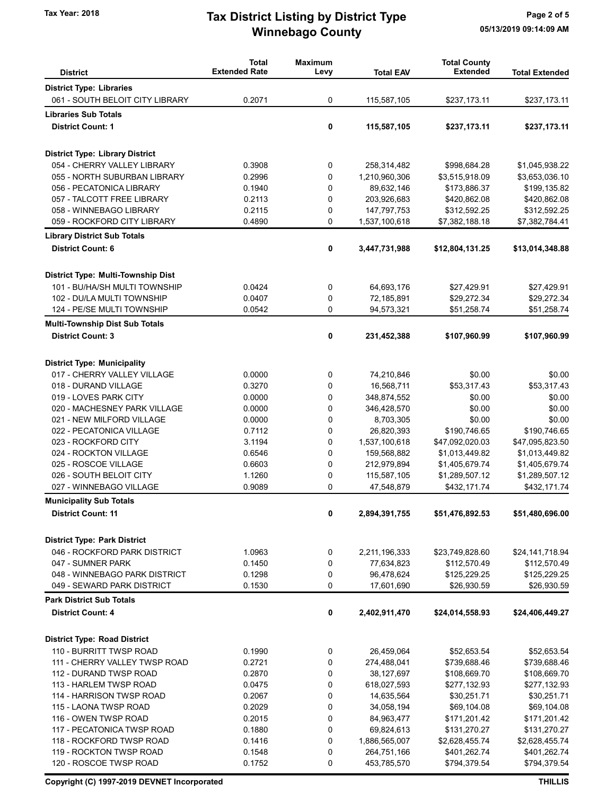## Winnebago County Tax Year: 2018 **Tax District Listing by District Type** Page 2 of 5

| <b>District</b>                                   | <b>Total</b><br><b>Extended Rate</b> | <b>Maximum</b><br>Levy | <b>Total EAV</b> | <b>Total County</b><br><b>Extended</b> | <b>Total Extended</b> |
|---------------------------------------------------|--------------------------------------|------------------------|------------------|----------------------------------------|-----------------------|
| <b>District Type: Libraries</b>                   |                                      |                        |                  |                                        |                       |
| 061 - SOUTH BELOIT CITY LIBRARY                   | 0.2071                               | 0                      | 115,587,105      | \$237,173.11                           | \$237,173.11          |
| <b>Libraries Sub Totals</b>                       |                                      |                        |                  |                                        |                       |
| <b>District Count: 1</b>                          |                                      | 0                      | 115,587,105      | \$237,173.11                           | \$237,173.11          |
|                                                   |                                      |                        |                  |                                        |                       |
| <b>District Type: Library District</b>            |                                      |                        |                  |                                        |                       |
| 054 - CHERRY VALLEY LIBRARY                       | 0.3908                               | 0                      | 258,314,482      | \$998,684.28                           | \$1,045,938.22        |
| 055 - NORTH SUBURBAN LIBRARY                      | 0.2996                               | 0                      | 1,210,960,306    | \$3,515,918.09                         | \$3,653,036.10        |
| 056 - PECATONICA LIBRARY                          | 0.1940                               | 0                      | 89,632,146       | \$173,886.37                           | \$199,135.82          |
| 057 - TALCOTT FREE LIBRARY                        | 0.2113                               | 0                      | 203,926,683      | \$420,862.08                           | \$420,862.08          |
| 058 - WINNEBAGO LIBRARY                           | 0.2115                               | 0                      | 147,797,753      | \$312,592.25                           | \$312,592.25          |
| 059 - ROCKFORD CITY LIBRARY                       | 0.4890                               | 0                      | 1,537,100,618    | \$7,382,188.18                         | \$7,382,784.41        |
| <b>Library District Sub Totals</b>                |                                      |                        |                  |                                        |                       |
| <b>District Count: 6</b>                          |                                      | 0                      | 3,447,731,988    | \$12,804,131.25                        | \$13,014,348.88       |
| District Type: Multi-Township Dist                |                                      |                        |                  |                                        |                       |
| 101 - BU/HA/SH MULTI TOWNSHIP                     | 0.0424                               | 0                      | 64,693,176       | \$27,429.91                            | \$27,429.91           |
| 102 - DU/LA MULTI TOWNSHIP                        | 0.0407                               | 0                      | 72,185,891       | \$29,272.34                            | \$29,272.34           |
| 124 - PE/SE MULTI TOWNSHIP                        | 0.0542                               | 0                      | 94,573,321       | \$51,258.74                            | \$51,258.74           |
| <b>Multi-Township Dist Sub Totals</b>             |                                      |                        |                  |                                        |                       |
| <b>District Count: 3</b>                          |                                      | 0                      | 231,452,388      | \$107,960.99                           | \$107,960.99          |
|                                                   |                                      |                        |                  |                                        |                       |
| <b>District Type: Municipality</b>                |                                      |                        |                  |                                        |                       |
| 017 - CHERRY VALLEY VILLAGE                       | 0.0000                               | 0                      | 74,210,846       | \$0.00                                 | \$0.00                |
| 018 - DURAND VILLAGE                              | 0.3270                               | 0                      | 16,568,711       | \$53,317.43                            | \$53,317.43           |
| 019 - LOVES PARK CITY                             | 0.0000                               | 0                      | 348,874,552      | \$0.00                                 | \$0.00                |
| 020 - MACHESNEY PARK VILLAGE                      | 0.0000                               | 0                      | 346,428,570      | \$0.00                                 | \$0.00                |
| 021 - NEW MILFORD VILLAGE                         | 0.0000                               | 0                      | 8,703,305        | \$0.00                                 | \$0.00                |
| 022 - PECATONICA VILLAGE                          | 0.7112                               | 0                      | 26,820,393       | \$190,746.65                           | \$190,746.65          |
| 023 - ROCKFORD CITY                               | 3.1194                               | 0                      | 1,537,100,618    | \$47,092,020.03                        | \$47,095,823.50       |
| 024 - ROCKTON VILLAGE                             | 0.6546                               | 0                      | 159,568,882      | \$1,013,449.82                         | \$1,013,449.82        |
| 025 - ROSCOE VILLAGE                              | 0.6603                               | 0                      | 212,979,894      | \$1,405,679.74                         | \$1,405,679.74        |
| 026 - SOUTH BELOIT CITY                           | 1.1260                               | 0                      | 115,587,105      | \$1,289,507.12                         | \$1,289,507.12        |
| 027 - WINNEBAGO VILLAGE                           | 0.9089                               | 0                      | 47,548,879       | \$432,171.74                           | \$432,171.74          |
| <b>Municipality Sub Totals</b>                    |                                      |                        |                  |                                        |                       |
| <b>District Count: 11</b>                         |                                      | 0                      | 2,894,391,755    | \$51,476,892.53                        | \$51,480,696.00       |
| <b>District Type: Park District</b>               |                                      |                        |                  |                                        |                       |
| 046 - ROCKFORD PARK DISTRICT                      | 1.0963                               | 0                      | 2,211,196,333    | \$23,749,828.60                        | \$24,141,718.94       |
| 047 - SUMNER PARK                                 | 0.1450                               | 0                      | 77,634,823       | \$112,570.49                           | \$112,570.49          |
| 048 - WINNEBAGO PARK DISTRICT                     | 0.1298                               | 0                      | 96,478,624       | \$125,229.25                           | \$125,229.25          |
| 049 - SEWARD PARK DISTRICT                        | 0.1530                               | 0                      | 17,601,690       | \$26,930.59                            | \$26,930.59           |
| <b>Park District Sub Totals</b>                   |                                      |                        |                  |                                        |                       |
| <b>District Count: 4</b>                          |                                      | 0                      | 2,402,911,470    | \$24,014,558.93                        | \$24,406,449.27       |
|                                                   |                                      |                        |                  |                                        |                       |
| <b>District Type: Road District</b>               |                                      |                        |                  |                                        |                       |
| 110 - BURRITT TWSP ROAD                           | 0.1990                               | 0                      | 26,459,064       | \$52,653.54                            | \$52,653.54           |
| 111 - CHERRY VALLEY TWSP ROAD                     | 0.2721                               | 0                      | 274,488,041      | \$739,688.46                           | \$739,688.46          |
| 112 - DURAND TWSP ROAD                            | 0.2870                               | 0                      | 38,127,697       | \$108,669.70                           | \$108,669.70          |
| 113 - HARLEM TWSP ROAD                            | 0.0475                               | 0                      | 618,027,593      | \$277,132.93                           | \$277,132.93          |
| 114 - HARRISON TWSP ROAD                          | 0.2067                               | 0                      | 14,635,564       | \$30,251.71                            | \$30,251.71           |
| 115 - LAONA TWSP ROAD                             | 0.2029                               | 0                      | 34,058,194       | \$69,104.08                            | \$69,104.08           |
| 116 - OWEN TWSP ROAD                              | 0.2015                               | 0                      | 84,963,477       | \$171,201.42                           | \$171,201.42          |
| 117 - PECATONICA TWSP ROAD                        | 0.1880                               | 0                      | 69,824,613       | \$131,270.27                           | \$131,270.27          |
| 118 - ROCKFORD TWSP ROAD                          | 0.1416                               | 0                      | 1,886,565,007    | \$2,628,455.74                         | \$2,628,455.74        |
| 119 - ROCKTON TWSP ROAD<br>120 - ROSCOE TWSP ROAD | 0.1548                               | 0<br>0                 | 264,751,166      | \$401,262.74                           | \$401,262.74          |
|                                                   | 0.1752                               |                        | 453,785,570      | \$794,379.54                           | \$794,379.54          |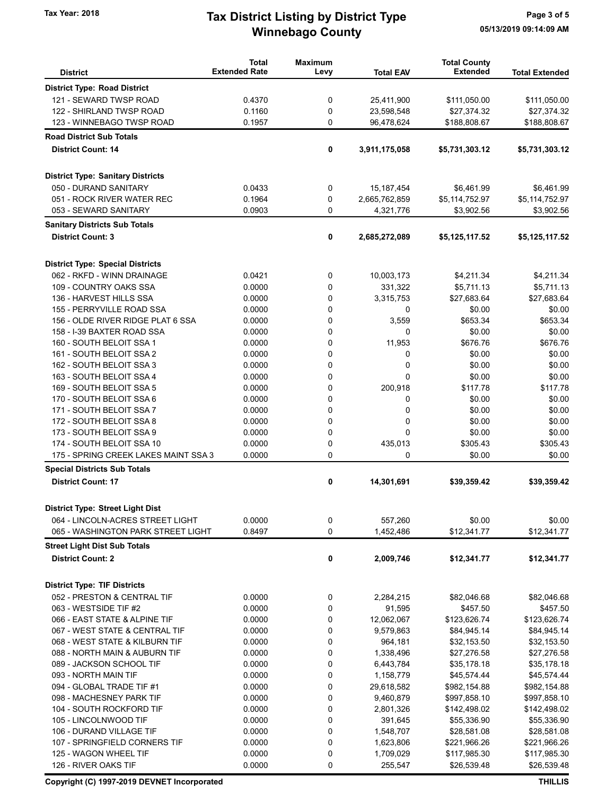## Winnebago County Tax Year: 2018 **Tax District Listing by District Type** Page 3 of 5

|                                                      | <b>Total</b><br><b>Extended Rate</b> | <b>Maximum</b> |                      | <b>Total County</b><br><b>Extended</b> |                             |
|------------------------------------------------------|--------------------------------------|----------------|----------------------|----------------------------------------|-----------------------------|
| <b>District</b>                                      |                                      | Levy           | <b>Total EAV</b>     |                                        | <b>Total Extended</b>       |
| <b>District Type: Road District</b>                  |                                      |                |                      |                                        |                             |
| 121 - SEWARD TWSP ROAD                               | 0.4370                               | 0              | 25,411,900           | \$111,050.00                           | \$111,050.00                |
| 122 - SHIRLAND TWSP ROAD                             | 0.1160                               | 0              | 23,598,548           | \$27,374.32                            | \$27,374.32                 |
| 123 - WINNEBAGO TWSP ROAD                            | 0.1957                               | 0              | 96,478,624           | \$188,808.67                           | \$188,808.67                |
| <b>Road District Sub Totals</b>                      |                                      |                |                      |                                        |                             |
| <b>District Count: 14</b>                            |                                      | 0              | 3,911,175,058        | \$5,731,303.12                         | \$5,731,303.12              |
| <b>District Type: Sanitary Districts</b>             |                                      |                |                      |                                        |                             |
| 050 - DURAND SANITARY                                | 0.0433                               | 0              | 15, 187, 454         | \$6,461.99                             | \$6,461.99                  |
| 051 - ROCK RIVER WATER REC                           | 0.1964                               | 0              | 2,665,762,859        | \$5,114,752.97                         | \$5,114,752.97              |
| 053 - SEWARD SANITARY                                | 0.0903                               | 0              | 4,321,776            | \$3,902.56                             | \$3,902.56                  |
| <b>Sanitary Districts Sub Totals</b>                 |                                      |                |                      |                                        |                             |
| <b>District Count: 3</b>                             |                                      | 0              | 2,685,272,089        | \$5,125,117.52                         | \$5,125,117.52              |
| <b>District Type: Special Districts</b>              |                                      |                |                      |                                        |                             |
| 062 - RKFD - WINN DRAINAGE                           | 0.0421                               | 0              | 10,003,173           | \$4,211.34                             | \$4,211.34                  |
| 109 - COUNTRY OAKS SSA                               | 0.0000                               | 0              | 331,322              | \$5,711.13                             | \$5,711.13                  |
| 136 - HARVEST HILLS SSA                              | 0.0000                               | 0              | 3,315,753            | \$27,683.64                            | \$27,683.64                 |
| 155 - PERRYVILLE ROAD SSA                            | 0.0000                               | 0              | 0                    | \$0.00                                 | \$0.00                      |
| 156 - OLDE RIVER RIDGE PLAT 6 SSA                    | 0.0000                               | 0              | 3,559                | \$653.34                               | \$653.34                    |
| 158 - I-39 BAXTER ROAD SSA                           | 0.0000                               | 0              | 0                    | \$0.00                                 | \$0.00                      |
| 160 - SOUTH BELOIT SSA 1                             | 0.0000                               | 0              | 11,953               | \$676.76                               | \$676.76                    |
| 161 - SOUTH BELOIT SSA 2                             | 0.0000                               | 0              | 0                    | \$0.00                                 | \$0.00                      |
| 162 - SOUTH BELOIT SSA 3                             | 0.0000                               | 0              | 0                    | \$0.00                                 | \$0.00                      |
| 163 - SOUTH BELOIT SSA 4                             | 0.0000                               | 0              | $\Omega$             | \$0.00                                 | \$0.00                      |
| 169 - SOUTH BELOIT SSA 5                             | 0.0000                               | 0              | 200,918              | \$117.78                               | \$117.78                    |
| 170 - SOUTH BELOIT SSA 6                             | 0.0000                               | 0              | 0                    | \$0.00                                 | \$0.00                      |
| 171 - SOUTH BELOIT SSA 7                             | 0.0000                               | 0              | 0                    | \$0.00                                 | \$0.00                      |
| 172 - SOUTH BELOIT SSA 8                             | 0.0000                               | 0              | 0                    | \$0.00                                 | \$0.00                      |
| 173 - SOUTH BELOIT SSA 9                             | 0.0000                               | 0              | $\Omega$             | \$0.00                                 | \$0.00                      |
| 174 - SOUTH BELOIT SSA 10                            | 0.0000                               | 0              | 435,013              | \$305.43                               | \$305.43                    |
| 175 - SPRING CREEK LAKES MAINT SSA 3                 | 0.0000                               | 0              | 0                    | \$0.00                                 | \$0.00                      |
| <b>Special Districts Sub Totals</b>                  |                                      |                |                      |                                        |                             |
| <b>District Count: 17</b>                            |                                      | 0              | 14,301,691           | \$39,359.42                            | \$39,359.42                 |
| <b>District Type: Street Light Dist</b>              |                                      |                |                      |                                        |                             |
| 064 - LINCOLN-ACRES STREET LIGHT                     | 0.0000                               | 0              | 557,260              | \$0.00                                 | \$0.00                      |
| 065 - WASHINGTON PARK STREET LIGHT                   | 0.8497                               | 0              | 1,452,486            | \$12,341.77                            | \$12,341.77                 |
| <b>Street Light Dist Sub Totals</b>                  |                                      |                |                      |                                        |                             |
| <b>District Count: 2</b>                             |                                      | 0              | 2,009,746            | \$12,341.77                            | \$12,341.77                 |
| <b>District Type: TIF Districts</b>                  |                                      |                |                      |                                        |                             |
| 052 - PRESTON & CENTRAL TIF                          | 0.0000                               | 0              | 2,284,215            | \$82,046.68                            | \$82,046.68                 |
| 063 - WESTSIDE TIF #2                                | 0.0000                               | 0              | 91,595               | \$457.50                               | \$457.50                    |
| 066 - EAST STATE & ALPINE TIF                        | 0.0000                               | 0              | 12,062,067           | \$123,626.74                           | \$123,626.74                |
| 067 - WEST STATE & CENTRAL TIF                       | 0.0000                               | 0              | 9,579,863            | \$84,945.14                            | \$84,945.14                 |
| 068 - WEST STATE & KILBURN TIF                       | 0.0000                               | 0              | 964,181              | \$32,153.50                            | \$32,153.50                 |
| 088 - NORTH MAIN & AUBURN TIF                        | 0.0000                               | 0              | 1,338,496            | \$27,276.58                            | \$27,276.58                 |
| 089 - JACKSON SCHOOL TIF                             | 0.0000                               | 0              | 6,443,784            | \$35,178.18                            | \$35,178.18                 |
| 093 - NORTH MAIN TIF                                 | 0.0000                               | 0              | 1,158,779            | \$45,574.44                            | \$45,574.44                 |
| 094 - GLOBAL TRADE TIF #1                            | 0.0000                               | 0              | 29,618,582           | \$982,154.88                           | \$982,154.88                |
| 098 - MACHESNEY PARK TIF<br>104 - SOUTH ROCKFORD TIF | 0.0000<br>0.0000                     | 0              | 9,460,879            | \$997,858.10<br>\$142,498.02           | \$997,858.10                |
| 105 - LINCOLNWOOD TIF                                | 0.0000                               | 0<br>0         | 2,801,326<br>391,645 | \$55,336.90                            | \$142,498.02<br>\$55,336.90 |
| 106 - DURAND VILLAGE TIF                             | 0.0000                               | 0              | 1,548,707            | \$28,581.08                            | \$28,581.08                 |
| 107 - SPRINGFIELD CORNERS TIF                        | 0.0000                               | 0              | 1,623,806            | \$221,966.26                           | \$221,966.26                |
| 125 - WAGON WHEEL TIF                                | 0.0000                               | 0              | 1,709,029            | \$117,985.30                           | \$117,985.30                |
| 126 - RIVER OAKS TIF                                 | 0.0000                               | 0              | 255,547              | \$26,539.48                            | \$26,539.48                 |
|                                                      |                                      |                |                      |                                        |                             |

Copyright (C) 1997-2019 DEVNET Incorporated THILLIS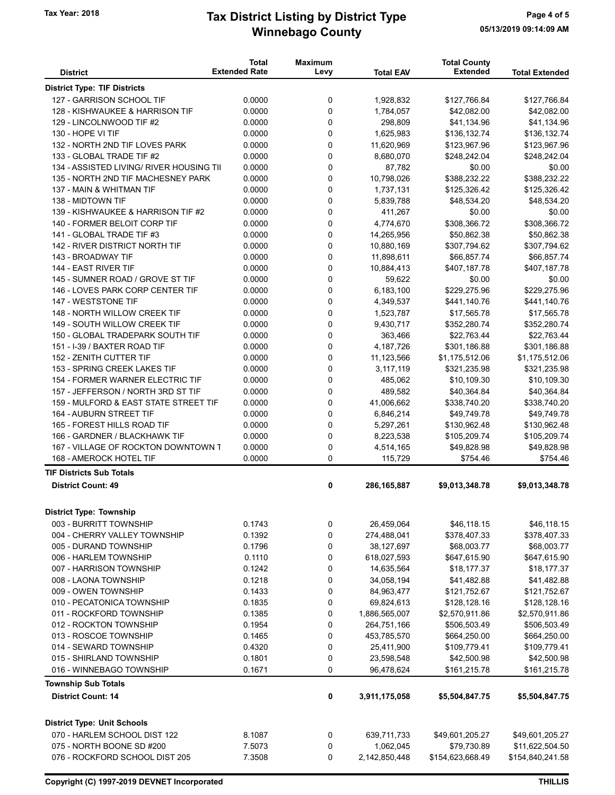## Winnebago County Tax Year: 2018 **Tax District Listing by District Type** Page 4 of 5

|                                                                      | <b>Total</b>         | <b>Maximum</b> |                        | <b>Total County</b>         |                             |
|----------------------------------------------------------------------|----------------------|----------------|------------------------|-----------------------------|-----------------------------|
| <b>District</b>                                                      | <b>Extended Rate</b> | Levy           | <b>Total EAV</b>       | <b>Extended</b>             | <b>Total Extended</b>       |
| <b>District Type: TIF Districts</b>                                  |                      |                |                        |                             |                             |
| 127 - GARRISON SCHOOL TIF                                            | 0.0000               | 0              | 1,928,832              | \$127,766.84                | \$127,766.84                |
| 128 - KISHWAUKEE & HARRISON TIF                                      | 0.0000               | $\mathbf 0$    | 1,784,057              | \$42,082.00                 | \$42,082.00                 |
| 129 - LINCOLNWOOD TIF #2                                             | 0.0000               | 0              | 298,809                | \$41,134.96                 | \$41,134.96                 |
| 130 - HOPE VI TIF                                                    | 0.0000               | $\mathbf 0$    | 1,625,983              | \$136,132.74                | \$136,132.74                |
| 132 - NORTH 2ND TIF LOVES PARK                                       | 0.0000               | $\mathbf 0$    | 11,620,969             | \$123,967.96                | \$123,967.96                |
| 133 - GLOBAL TRADE TIF #2                                            | 0.0000               | 0              | 8,680,070              | \$248,242.04                | \$248,242.04                |
| 134 - ASSISTED LIVING/ RIVER HOUSING TII                             | 0.0000               | 0              | 87,782                 | \$0.00                      | \$0.00                      |
| 135 - NORTH 2ND TIF MACHESNEY PARK                                   | 0.0000               | $\mathbf 0$    | 10,798,026             | \$388,232.22                | \$388,232.22                |
| 137 - MAIN & WHITMAN TIF                                             | 0.0000               | 0              | 1,737,131              | \$125,326.42                | \$125,326.42                |
| 138 - MIDTOWN TIF                                                    | 0.0000               | 0              | 5,839,788              | \$48,534.20                 | \$48,534.20                 |
| 139 - KISHWAUKEE & HARRISON TIF #2                                   | 0.0000               | 0              | 411,267                | \$0.00                      | \$0.00                      |
| 140 - FORMER BELOIT CORP TIF                                         | 0.0000               | $\mathbf 0$    | 4,774,670              | \$308,366.72                | \$308,366.72                |
| 141 - GLOBAL TRADE TIF #3                                            | 0.0000               | 0              | 14,265,956             | \$50,862.38                 | \$50,862.38                 |
| 142 - RIVER DISTRICT NORTH TIF                                       | 0.0000               | 0              | 10,880,169             | \$307,794.62                | \$307,794.62                |
| 143 - BROADWAY TIF                                                   | 0.0000               | 0              | 11,898,611             | \$66,857.74                 | \$66,857.74                 |
| 144 - EAST RIVER TIF                                                 | 0.0000               | 0              | 10,884,413             | \$407,187.78                | \$407,187.78                |
| 145 - SUMNER ROAD / GROVE ST TIF                                     | 0.0000               | 0              | 59,622                 | \$0.00                      | \$0.00                      |
| 146 - LOVES PARK CORP CENTER TIF                                     | 0.0000               | 0              | 6,183,100              | \$229,275.96                | \$229,275.96                |
| 147 - WESTSTONE TIF                                                  | 0.0000               | 0              | 4,349,537              | \$441,140.76                | \$441,140.76                |
| 148 - NORTH WILLOW CREEK TIF                                         | 0.0000               | 0              | 1,523,787              | \$17,565.78                 | \$17,565.78                 |
| 149 - SOUTH WILLOW CREEK TIF                                         | 0.0000               | $\mathbf 0$    | 9,430,717              | \$352,280.74                | \$352,280.74                |
| 150 - GLOBAL TRADEPARK SOUTH TIF                                     | 0.0000               | $\mathbf 0$    | 363,466                | \$22,763.44                 | \$22,763.44                 |
| 151 - I-39 / BAXTER ROAD TIF                                         | 0.0000               | 0              | 4,187,726              | \$301,186.88                | \$301,186.88                |
| 152 - ZENITH CUTTER TIF                                              | 0.0000               | 0              | 11,123,566             | \$1,175,512.06              | \$1,175,512.06              |
| 153 - SPRING CREEK LAKES TIF                                         | 0.0000               | 0              | 3,117,119              | \$321,235.98                | \$321,235.98                |
| 154 - FORMER WARNER ELECTRIC TIF                                     | 0.0000               | 0              | 485,062                | \$10,109.30                 | \$10,109.30                 |
| 157 - JEFFERSON / NORTH 3RD ST TIF                                   | 0.0000               | 0              | 489,582                | \$40,364.84                 | \$40,364.84                 |
| 159 - MULFORD & EAST STATE STREET TIF                                | 0.0000               | 0              | 41,006,662             | \$338,740.20                | \$338,740.20                |
| 164 - AUBURN STREET TIF<br>165 - FOREST HILLS ROAD TIF               | 0.0000<br>0.0000     | 0              | 6,846,214              | \$49,749.78                 | \$49,749.78                 |
|                                                                      | 0.0000               | 0              | 5,297,261              | \$130,962.48                | \$130,962.48                |
| 166 - GARDNER / BLACKHAWK TIF<br>167 - VILLAGE OF ROCKTON DOWNTOWN T | 0.0000               | 0<br>0         | 8,223,538<br>4,514,165 | \$105,209.74<br>\$49,828.98 | \$105,209.74<br>\$49,828.98 |
| 168 - AMEROCK HOTEL TIF                                              | 0.0000               | 0              | 115,729                | \$754.46                    | \$754.46                    |
|                                                                      |                      |                |                        |                             |                             |
| <b>TIF Districts Sub Totals</b><br><b>District Count: 49</b>         |                      |                |                        |                             |                             |
|                                                                      |                      | 0              | 286, 165, 887          | \$9,013,348.78              | \$9,013,348.78              |
| <b>District Type: Township</b>                                       |                      |                |                        |                             |                             |
| 003 - BURRITT TOWNSHIP                                               | 0.1743               | 0              | 26,459,064             | \$46,118.15                 | \$46,118.15                 |
| 004 - CHERRY VALLEY TOWNSHIP                                         | 0.1392               | 0              | 274,488,041            | \$378,407.33                | \$378,407.33                |
| 005 - DURAND TOWNSHIP                                                | 0.1796               | 0              | 38,127,697             | \$68,003.77                 | \$68,003.77                 |
| 006 - HARLEM TOWNSHIP                                                | 0.1110               | 0              | 618,027,593            | \$647,615.90                | \$647,615.90                |
| 007 - HARRISON TOWNSHIP                                              | 0.1242               | 0              | 14,635,564             | \$18,177.37                 | \$18,177.37                 |
| 008 - LAONA TOWNSHIP                                                 | 0.1218               | 0              | 34,058,194             | \$41,482.88                 | \$41,482.88                 |
| 009 - OWEN TOWNSHIP                                                  | 0.1433               | 0              | 84,963,477             | \$121,752.67                | \$121,752.67                |
| 010 - PECATONICA TOWNSHIP                                            | 0.1835               | 0              | 69,824,613             | \$128,128.16                | \$128,128.16                |
| 011 - ROCKFORD TOWNSHIP                                              | 0.1385               | 0              | 1,886,565,007          | \$2,570,911.86              | \$2,570,911.86              |
| 012 - ROCKTON TOWNSHIP                                               | 0.1954               | 0              | 264,751,166            | \$506,503.49                | \$506,503.49                |
| 013 - ROSCOE TOWNSHIP                                                | 0.1465               | 0              | 453,785,570            | \$664,250.00                | \$664,250.00                |
| 014 - SEWARD TOWNSHIP                                                | 0.4320               | 0              | 25,411,900             | \$109,779.41                | \$109,779.41                |
| 015 - SHIRLAND TOWNSHIP                                              | 0.1801               | 0              | 23,598,548             | \$42,500.98                 | \$42,500.98                 |
| 016 - WINNEBAGO TOWNSHIP                                             | 0.1671               | 0              | 96,478,624             | \$161,215.78                | \$161,215.78                |
| <b>Township Sub Totals</b><br><b>District Count: 14</b>              |                      |                |                        |                             |                             |
|                                                                      |                      | 0              | 3,911,175,058          | \$5,504,847.75              | \$5,504,847.75              |
| <b>District Type: Unit Schools</b>                                   |                      |                |                        |                             |                             |
| 070 - HARLEM SCHOOL DIST 122                                         | 8.1087               | 0              | 639,711,733            | \$49,601,205.27             | \$49,601,205.27             |
| 075 - NORTH BOONE SD #200                                            | 7.5073               | 0              | 1,062,045              | \$79,730.89                 | \$11,622,504.50             |
| 076 - ROCKFORD SCHOOL DIST 205                                       | 7.3508               | 0              | 2,142,850,448          | \$154,623,668.49            | \$154,840,241.58            |